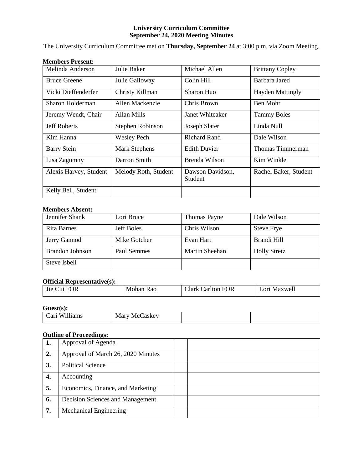# **University Curriculum Committee September 24, 2020 Meeting Minutes**

The University Curriculum Committee met on **Thursday, September 24** at 3:00 p.m. via Zoom Meeting.

## **Members Present:**

| Melinda Anderson       | Julie Baker          | Michael Allen                      | <b>Brittany Copley</b>  |
|------------------------|----------------------|------------------------------------|-------------------------|
| <b>Bruce Greene</b>    | Julie Galloway       | Colin Hill                         | Barbara Jared           |
| Vicki Dieffenderfer    | Christy Killman      | Sharon Huo                         | <b>Hayden Mattingly</b> |
| Sharon Holderman       | Allen Mackenzie      | Chris Brown                        | Ben Mohr                |
| Jeremy Wendt, Chair    | Allan Mills          | Janet Whiteaker                    | <b>Tammy Boles</b>      |
| <b>Jeff Roberts</b>    | Stephen Robinson     | Joseph Slater                      | Linda Null              |
| Kim Hanna              | <b>Wesley Pech</b>   | <b>Richard Rand</b>                | Dale Wilson             |
| <b>Barry Stein</b>     | <b>Mark Stephens</b> | <b>Edith Duvier</b>                | Thomas Timmerman        |
| Lisa Zagumny           | Darron Smith         | Brenda Wilson                      | Kim Winkle              |
| Alexis Harvey, Student | Melody Roth, Student | Dawson Davidson,<br><b>Student</b> | Rachel Baker, Student   |
| Kelly Bell, Student    |                      |                                    |                         |

# **Members Absent:**

| Jennifer Shank         | Lori Bruce        | Thomas Payne   | Dale Wilson         |
|------------------------|-------------------|----------------|---------------------|
| Rita Barnes            | <b>Jeff Boles</b> | Chris Wilson   | <b>Steve Frye</b>   |
| Jerry Gannod           | Mike Gotcher      | Evan Hart      | Brandi Hill         |
| <b>Brandon Johnson</b> | Paul Semmes       | Martin Sheehan | <b>Holly Stretz</b> |
| Steve Isbell           |                   |                |                     |

# **Official Representative(s):**

| <b>FOR</b><br>$- \cdot$<br>$J_1e'$<br>`111<br>$\sim$ $\sim$ $\sim$ $\sim$ $\sim$ $\sim$ $\sim$ | Mohar<br>Rao<br>гип | ÷.<br><b>FOR</b><br>`arlton.<br>Jark | - -<br>Ωri<br>Maxwell |
|------------------------------------------------------------------------------------------------|---------------------|--------------------------------------|-----------------------|

# **Guest(s):**

| ---------                                                    |                                                |  |  |
|--------------------------------------------------------------|------------------------------------------------|--|--|
| $\cdot$ $\sim$<br>`arı<br>W<br>'ams<br>$\ddotsc$<br>$\cdots$ | Marv<br>$'$ oolrov<br>NIC <sup>'</sup><br>aske |  |  |

# **Outline of Proceedings:**

| ı. | Approval of Agenda                 |
|----|------------------------------------|
| 2. | Approval of March 26, 2020 Minutes |
| 3. | Political Science                  |
| 4. | Accounting                         |
| 5. | Economics, Finance, and Marketing  |
| 6. | Decision Sciences and Management   |
| 7. | <b>Mechanical Engineering</b>      |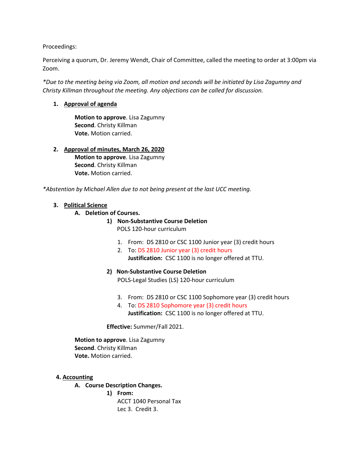Proceedings:

Perceiving a quorum, Dr. Jeremy Wendt, Chair of Committee, called the meeting to order at 3:00pm via Zoom.

*\*Due to the meeting being via Zoom, all motion and seconds will be initiated by Lisa Zagumny and Christy Killman throughout the meeting. Any objections can be called for discussion.* 

# **1. Approval of agenda**

**Motion to approve**. Lisa Zagumny **Second**. Christy Killman **Vote.** Motion carried.

**2. Approval of minutes, March 26, 2020 Motion to approve**. Lisa Zagumny **Second**. Christy Killman **Vote.** Motion carried.

*\*Abstention by Michael Allen due to not being present at the last UCC meeting.* 

## **3. Political Science**

- **A. Deletion of Courses.** 
	- **1) Non-Substantive Course Deletion** POLS 120-hour curriculum
		- 1. From: DS 2810 or CSC 1100 Junior year (3) credit hours
		- 2. To: DS 2810 Junior year (3) credit hours **Justification:** CSC 1100 is no longer offered at TTU.

## **2) Non-Substantive Course Deletion**

POLS-Legal Studies (LS) 120-hour curriculum

- 3. From: DS 2810 or CSC 1100 Sophomore year (3) credit hours
- 4. To: DS 2810 Sophomore year (3) credit hours **Justification:** CSC 1100 is no longer offered at TTU.

**Effective:** Summer/Fall 2021.

**Motion to approve**. Lisa Zagumny **Second**. Christy Killman **Vote.** Motion carried.

## **4. Accounting**

# **A. Course Description Changes.**

**1) From:**

ACCT 1040 Personal Tax Lec 3. Credit 3.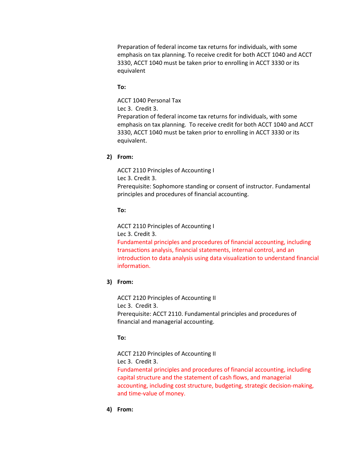Preparation of federal income tax returns for individuals, with some emphasis on tax planning. To receive credit for both ACCT 1040 and [ACCT](https://catalog.tntech.edu/content.php?catoid=29&navoid=6106#tt4624)  [3330,](https://catalog.tntech.edu/content.php?catoid=29&navoid=6106#tt4624) ACCT 1040 must be taken prior to enrolling in [ACCT 3330](https://catalog.tntech.edu/content.php?catoid=29&navoid=6106#tt6059) or its equivalent

**To:**

ACCT 1040 Personal Tax Lec 3. Credit 3. Preparation of federal income tax returns for individuals, with some emphasis on tax planning. To receive credit for both ACCT 1040 and ACCT 3330, ACCT 1040 must be taken prior to enrolling in ACCT 3330 or its equivalent.

**2) From:** 

ACCT 2110 Principles of Accounting I Lec 3. Credit 3. Prerequisite: Sophomore standing or consent of instructor. Fundamental principles and procedures of financial accounting.

**To:** 

ACCT 2110 Principles of Accounting I Lec 3. Credit 3. Fundamental principles and procedures of financial accounting, including transactions analysis, financial statements, internal control, and an introduction to data analysis using data visualization to understand financial information.

**3) From:**

ACCT 2120 Principles of Accounting II Lec 3. Credit 3. Prerequisite: [ACCT 2110.](https://catalog.tntech.edu/content.php?catoid=29&navoid=6106#tt4800) Fundamental principles and procedures of financial and managerial accounting.

**To:** 

ACCT 2120 Principles of Accounting II Lec 3. Credit 3.

Fundamental principles and procedures of financial accounting, including capital structure and the statement of cash flows, and managerial accounting, including cost structure, budgeting, strategic decision-making, and time-value of money.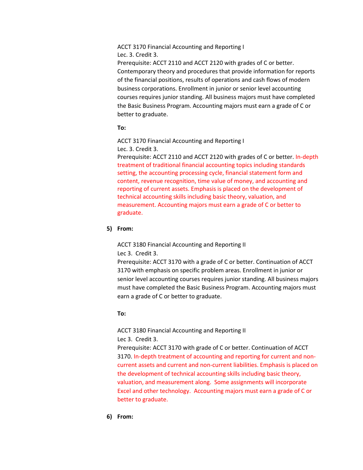ACCT 3170 Financial Accounting and Reporting I Lec. 3. Credit 3.

Prerequisite: [ACCT 2110](https://catalog.tntech.edu/content.php?catoid=29&navoid=6106#tt2674) and [ACCT 2120](https://catalog.tntech.edu/content.php?catoid=29&navoid=6106#tt4105) with grades of C or better. Contemporary theory and procedures that provide information for reports of the financial positions, results of operations and cash flows of modern business corporations. Enrollment in junior or senior level accounting courses requires junior standing. All business majors must have completed the Basic Business Program. Accounting majors must earn a grade of C or better to graduate.

**To:**

ACCT 3170 Financial Accounting and Reporting I Lec. 3. Credit 3.

Prerequisite: ACCT 2110 and ACCT 2120 with grades of C or better. In-depth treatment of traditional financial accounting topics including standards setting, the accounting processing cycle, financial statement form and content, revenue recognition, time value of money, and accounting and reporting of current assets. Emphasis is placed on the development of technical accounting skills including basic theory, valuation, and measurement. Accounting majors must earn a grade of C or better to graduate.

**5) From:**

ACCT 3180 Financial Accounting and Reporting II

Lec 3. Credit 3.

Prerequisite: [ACCT 3170](https://catalog.tntech.edu/content.php?catoid=29&navoid=6106#tt839) with a grade of C or better. Continuation of [ACCT](https://catalog.tntech.edu/content.php?catoid=29&navoid=6106#tt2939)  [3170](https://catalog.tntech.edu/content.php?catoid=29&navoid=6106#tt2939) with emphasis on specific problem areas. Enrollment in junior or senior level accounting courses requires junior standing. All business majors must have completed the Basic Business Program. Accounting majors must earn a grade of C or better to graduate.

## **To:**

ACCT 3180 Financial Accounting and Reporting II Lec 3. Credit 3.

Prerequisite: ACCT 3170 with grade of C or better. Continuation of ACCT 3170. In-depth treatment of accounting and reporting for current and noncurrent assets and current and non-current liabilities. Emphasis is placed on the development of technical accounting skills including basic theory, valuation, and measurement along. Some assignments will incorporate Excel and other technology. Accounting majors must earn a grade of C or better to graduate.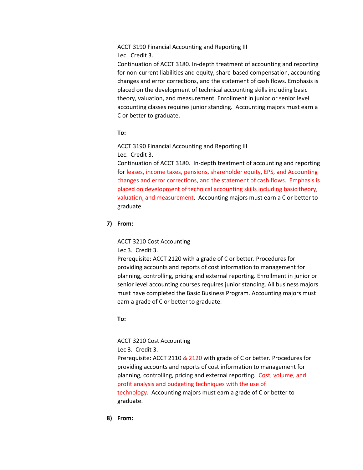ACCT 3190 Financial Accounting and Reporting III Lec. Credit 3.

Continuation of ACCT 3180. In-depth treatment of accounting and reporting for non-current liabilities and equity, share-based compensation, accounting changes and error corrections, and the statement of cash flows. Emphasis is placed on the development of technical accounting skills including basic theory, valuation, and measurement. Enrollment in junior or senior level accounting classes requires junior standing. Accounting majors must earn a C or better to graduate.

## **To:**

ACCT 3190 Financial Accounting and Reporting III Lec. Credit 3.

Continuation of ACCT 3180. In-depth treatment of accounting and reporting for leases, income taxes, pensions, shareholder equity, EPS, and Accounting changes and error corrections, and the statement of cash flows. Emphasis is placed on development of technical accounting skills including basic theory, valuation, and measurement. Accounting majors must earn a C or better to graduate.

## **7) From:**

ACCT 3210 Cost Accounting

Lec 3. Credit 3.

Prerequisite: [ACCT 2120](https://catalog.tntech.edu/content.php?catoid=29&navoid=6106#tt3772) with a grade of C or better. Procedures for providing accounts and reports of cost information to management for planning, controlling, pricing and external reporting. Enrollment in junior or senior level accounting courses requires junior standing. All business majors must have completed the Basic Business Program. Accounting majors must earn a grade of C or better to graduate.

# **To:**

ACCT 3210 Cost Accounting

Lec 3. Credit 3.

Prerequisite: ACCT 2110 & 2120 with grade of C or better. Procedures for providing accounts and reports of cost information to management for planning, controlling, pricing and external reporting. Cost, volume, and profit analysis and budgeting techniques with the use of technology. Accounting majors must earn a grade of C or better to graduate.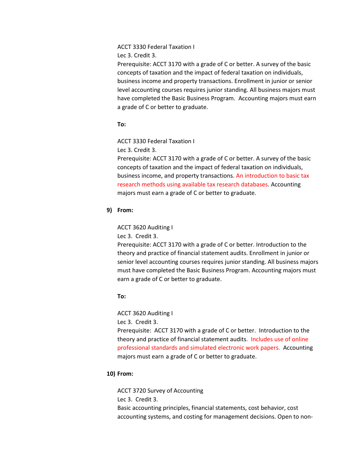## ACCT 3330 Federal Taxation I

Lec 3. Credit 3.

Prerequisite: [ACCT 3170](https://catalog.tntech.edu/content.php?catoid=29&navoid=6106#tt2108) with a grade of C or better. A survey of the basic concepts of taxation and the impact of federal taxation on individuals, business income and property transactions. Enrollment in junior or senior level accounting courses requires junior standing. All business majors must have completed the Basic Business Program. Accounting majors must earn a grade of C or better to graduate.

**To:**

ACCT 3330 Federal Taxation I

Lec 3. Credit 3.

Prerequisite: ACCT 3170 with a grade of C or better. A survey of the basic concepts of taxation and the impact of federal taxation on individuals, business income, and property transactions. An introduction to basic tax research methods using available tax research databases. Accounting majors must earn a grade of C or better to graduate.

# **9) From:**

ACCT 3620 Auditing I

Lec 3. Credit 3.

Prerequisite: [ACCT 3170](https://catalog.tntech.edu/content.php?catoid=29&navoid=6106#tt9076) with a grade of C or better. Introduction to the theory and practice of financial statement audits. Enrollment in junior or senior level accounting courses requires junior standing. All business majors must have completed the Basic Business Program. Accounting majors must earn a grade of C or better to graduate.

# **To:**

ACCT 3620 Auditing I

Lec 3. Credit 3.

Prerequisite: ACCT 3170 with a grade of C or better. Introduction to the theory and practice of financial statement audits. Includes use of online professional standards and simulated electronic work papers. Accounting majors must earn a grade of C or better to graduate.

# **10) From:**

ACCT 3720 Survey of Accounting Lec 3. Credit 3. Basic accounting principles, financial statements, cost behavior, cost accounting systems, and costing for management decisions. Open to non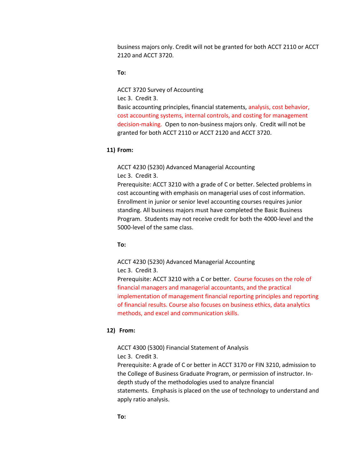business majors only. Credit will not be granted for both [ACCT 2110](https://catalog.tntech.edu/content.php?catoid=29&navoid=6106#tt2830) or [ACCT](https://catalog.tntech.edu/content.php?catoid=29&navoid=6106#tt340)  [2120](https://catalog.tntech.edu/content.php?catoid=29&navoid=6106#tt340) and ACCT 3720.

## **To:**

ACCT 3720 Survey of Accounting

Lec 3. Credit 3.

Basic accounting principles, financial statements, analysis, cost behavior, cost accounting systems, internal controls, and costing for management decision-making. Open to non-business majors only. Credit will not be granted for both ACCT 2110 or ACCT 2120 and ACCT 3720.

### **11) From:**

ACCT 4230 (5230) Advanced Managerial Accounting Lec 3. Credit 3.

Prerequisite: [ACCT 3210](https://catalog.tntech.edu/content.php?catoid=29&navoid=6106#tt8434) with a grade of C or better. Selected problems in cost accounting with emphasis on managerial uses of cost information. Enrollment in junior or senior level accounting courses requires junior standing. All business majors must have completed the Basic Business Program. Students may not receive credit for both the 4000-level and the 5000-level of the same class.

## **To:**

ACCT 4230 (5230) Advanced Managerial Accounting Lec 3. Credit 3.

Prerequisite: ACCT 3210 with a C or better. Course focuses on the role of financial managers and managerial accountants, and the practical implementation of management financial reporting principles and reporting of financial results. Course also focuses on business ethics, data analytics methods, and excel and communication skills.

### **12) From:**

ACCT 4300 (5300) Financial Statement of Analysis

Lec 3. Credit 3.

Prerequisite: A grade of C or better in [ACCT 3170](https://catalog.tntech.edu/content.php?catoid=29&navoid=6106#tt1256) or [FIN 3210,](https://catalog.tntech.edu/content.php?catoid=29&navoid=6106#tt3087) admission to the College of Business Graduate Program, or permission of instructor. Indepth study of the methodologies used to analyze financial statements. Emphasis is placed on the use of technology to understand and apply ratio analysis.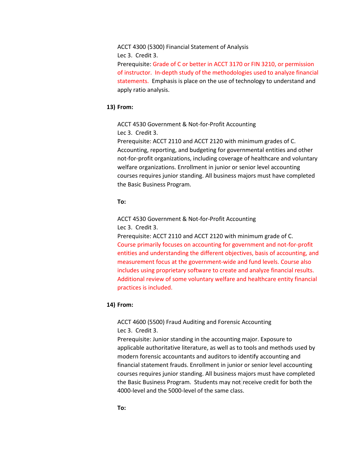ACCT 4300 (5300) Financial Statement of Analysis Lec 3. Credit 3. Prerequisite: Grade of C or better in ACCT 3170 or FIN 3210, or permission of instructor. In-depth study of the methodologies used to analyze financial statements. Emphasis is place on the use of technology to understand and apply ratio analysis.

## **13) From:**

ACCT 4530 Government & Not-for-Profit Accounting Lec 3. Credit 3.

Prerequisite: [ACCT 2110](https://catalog.tntech.edu/content.php?catoid=29&navoid=6106#tt9189) and [ACCT 2120](https://catalog.tntech.edu/content.php?catoid=29&navoid=6106#tt5264) with minimum grades of C. Accounting, reporting, and budgeting for governmental entities and other not-for-profit organizations, including coverage of healthcare and voluntary welfare organizations. Enrollment in junior or senior level accounting courses requires junior standing. All business majors must have completed the Basic Business Program.

#### **To:**

ACCT 4530 Government & Not-for-Profit Accounting Lec 3. Credit 3.

Prerequisite: ACCT 2110 and ACCT 2120 with minimum grade of C. Course primarily focuses on accounting for government and not-for-profit entities and understanding the different objectives, basis of accounting, and measurement focus at the government-wide and fund levels. Course also includes using proprietary software to create and analyze financial results. Additional review of some voluntary welfare and healthcare entity financial practices is included.

#### **14) From:**

ACCT 4600 (5500) Fraud Auditing and Forensic Accounting Lec 3. Credit 3.

Prerequisite: Junior standing in the accounting major. Exposure to applicable authoritative literature, as well as to tools and methods used by modern forensic accountants and auditors to identify accounting and financial statement frauds. Enrollment in junior or senior level accounting courses requires junior standing. All business majors must have completed the Basic Business Program. Students may not receive credit for both the 4000-level and the 5000-level of the same class.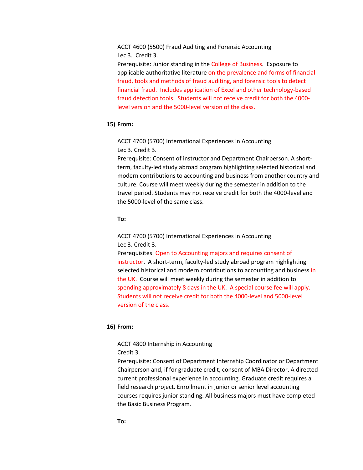ACCT 4600 (5500) Fraud Auditing and Forensic Accounting Lec 3. Credit 3.

Prerequisite: Junior standing in the College of Business. Exposure to applicable authoritative literature on the prevalence and forms of financial fraud, tools and methods of fraud auditing, and forensic tools to detect financial fraud. Includes application of Excel and other technology-based fraud detection tools. Students will not receive credit for both the 4000 level version and the 5000-level version of the class.

## **15) From:**

# ACCT 4700 (5700) International Experiences in Accounting Lec 3. Credit 3.

Prerequisite: Consent of instructor and Department Chairperson. A shortterm, faculty-led study abroad program highlighting selected historical and modern contributions to accounting and business from another country and culture. Course will meet weekly during the semester in addition to the travel period. Students may not receive credit for both the 4000-level and the 5000-level of the same class.

## **To:**

ACCT 4700 (5700) International Experiences in Accounting Lec 3. Credit 3.

Prerequisites: Open to Accounting majors and requires consent of instructor. A short-term, faculty-led study abroad program highlighting selected historical and modern contributions to accounting and business in the UK. Course will meet weekly during the semester in addition to spending approximately 8 days in the UK. A special course fee will apply. Students will not receive credit for both the 4000-level and 5000-level version of the class.

### **16) From:**

ACCT 4800 Internship in Accounting Credit 3.

Prerequisite: Consent of Department Internship Coordinator or Department Chairperson and, if for graduate credit, consent of MBA Director. A directed current professional experience in accounting. Graduate credit requires a field research project. Enrollment in junior or senior level accounting courses requires junior standing. All business majors must have completed the Basic Business Program.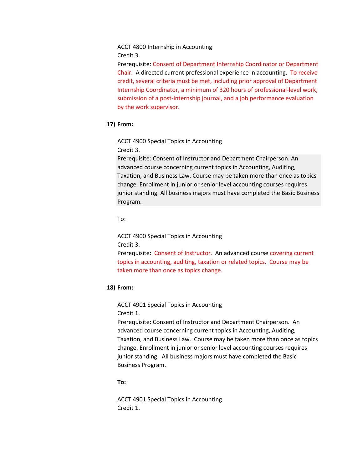ACCT 4800 Internship in Accounting Credit 3.

Prerequisite: Consent of Department Internship Coordinator or Department Chair. A directed current professional experience in accounting. To receive credit, several criteria must be met, including prior approval of Department Internship Coordinator, a minimum of 320 hours of professional-level work, submission of a post-internship journal, and a job performance evaluation by the work supervisor.

# **17) From:**

ACCT 4900 Special Topics in Accounting Credit 3.

Prerequisite: Consent of Instructor and Department Chairperson. An advanced course concerning current topics in Accounting, Auditing, Taxation, and Business Law. Course may be taken more than once as topics change. Enrollment in junior or senior level accounting courses requires junior standing. All business majors must have completed the Basic Business Program.

To:

ACCT 4900 Special Topics in Accounting Credit 3.

Prerequisite: Consent of Instructor. An advanced course covering current topics in accounting, auditing, taxation or related topics. Course may be taken more than once as topics change.

## **18) From:**

ACCT 4901 Special Topics in Accounting Credit 1.

Prerequisite: Consent of Instructor and Department Chairperson. An advanced course concerning current topics in Accounting, Auditing, Taxation, and Business Law. Course may be taken more than once as topics change. Enrollment in junior or senior level accounting courses requires junior standing. All business majors must have completed the Basic Business Program.

## **To:**

ACCT 4901 Special Topics in Accounting Credit 1.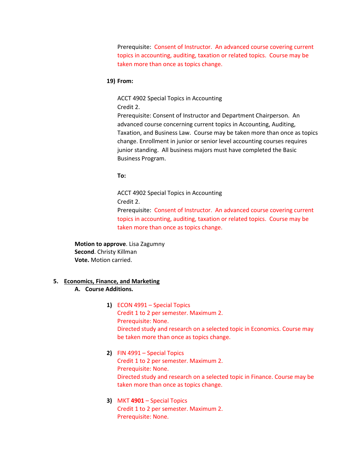Prerequisite: Consent of Instructor. An advanced course covering current topics in accounting, auditing, taxation or related topics. Course may be taken more than once as topics change.

## **19) From:**

ACCT 4902 Special Topics in Accounting Credit 2.

Prerequisite: Consent of Instructor and Department Chairperson. An advanced course concerning current topics in Accounting, Auditing, Taxation, and Business Law. Course may be taken more than once as topics change. Enrollment in junior or senior level accounting courses requires junior standing. All business majors must have completed the Basic Business Program.

## **To:**

ACCT 4902 Special Topics in Accounting Credit 2. Prerequisite: Consent of Instructor. An advanced course covering current topics in accounting, auditing, taxation or related topics. Course may be taken more than once as topics change.

**Motion to approve**. Lisa Zagumny **Second**. Christy Killman **Vote.** Motion carried.

## **5. Economics, Finance, and Marketing**

# **A. Course Additions.**

- **1)** ECON 4991 Special Topics Credit 1 to 2 per semester. Maximum 2. Prerequisite: None. Directed study and research on a selected topic in Economics. Course may be taken more than once as topics change.
- **2)** FIN 4991 Special Topics Credit 1 to 2 per semester. Maximum 2. Prerequisite: None. Directed study and research on a selected topic in Finance. Course may be taken more than once as topics change.
- **3)** MKT **4901**  Special Topics Credit 1 to 2 per semester. Maximum 2. Prerequisite: None.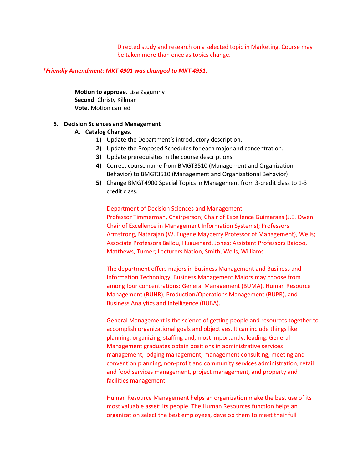Directed study and research on a selected topic in Marketing. Course may be taken more than once as topics change.

## *\*Friendly Amendment: MKT 4901 was changed to MKT 4991.*

**Motion to approve**. Lisa Zagumny **Second**. Christy Killman **Vote.** Motion carried

# **6. Decision Sciences and Management**

# **A. Catalog Changes.**

- **1)** Update the Department's introductory description.
- **2)** Update the Proposed Schedules for each major and concentration.
- **3)** Update prerequisites in the course descriptions
- **4)** Correct course name from BMGT3510 (Management and Organization Behavior) to BMGT3510 (Management and Organizational Behavior)
- **5)** Change BMGT4900 Special Topics in Management from 3-credit class to 1-3 credit class.

Department of Decision Sciences and Management Professor Timmerman, Chairperson; Chair of Excellence Guimaraes (J.E. Owen Chair of Excellence in Management Information Systems); Professors Armstrong, Natarajan (W. Eugene Mayberry Professor of Management), Wells; Associate Professors Ballou, Huguenard, Jones; Assistant Professors Baidoo, Matthews, Turner; Lecturers Nation, Smith, Wells, Williams

The department offers majors in Business Management and Business and Information Technology. Business Management Majors may choose from among four concentrations: General Management (BUMA), Human Resource Management (BUHR), Production/Operations Management (BUPR), and Business Analytics and Intelligence (BUBA).

General Management is the science of getting people and resources together to accomplish organizational goals and objectives. It can include things like planning, organizing, staffing and, most importantly, leading. General Management graduates obtain positions in administrative services management, lodging management, management consulting, meeting and convention planning, non-profit and community services administration, retail and food services management, project management, and property and facilities management.

Human Resource Management helps an organization make the best use of its most valuable asset: its people. The Human Resources function helps an organization select the best employees, develop them to meet their full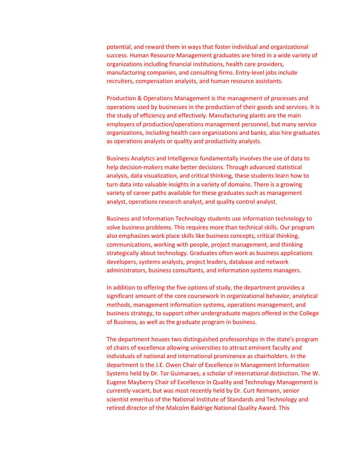potential, and reward them in ways that foster individual and organizational success. Human Resource Management graduates are hired in a wide variety of organizations including financial institutions, health care providers, manufacturing companies, and consulting firms. Entry-level jobs include recruiters, compensation analysts, and human resource assistants.

Production & Operations Management is the management of processes and operations used by businesses in the production of their goods and services. It is the study of efficiency and effectively. Manufacturing plants are the main employers of production/operations management personnel, but many service organizations, including health care organizations and banks, also hire graduates as operations analysts or quality and productivity analysts.

Business Analytics and Intelligence fundamentally involves the use of data to help decision-makers make better decisions. Through advanced statistical analysis, data visualization, and critical thinking, these students learn how to turn data into valuable insights in a variety of domains. There is a growing variety of career paths available for these graduates such as management analyst, operations research analyst, and quality control analyst.

Business and Information Technology students use information technology to solve business problems. This requires more than technical skills. Our program also emphasizes work place skills like business concepts, critical thinking, communications, working with people, project management, and thinking strategically about technology. Graduates often work as business applications developers, systems analysts, project leaders, database and network administrators, business consultants, and information systems managers.

In addition to offering the five options of study, the department provides a significant amount of the core coursework in organizational behavior, analytical methods, management information systems, operations management, and business strategy, to support other undergraduate majors offered in the College of Business, as well as the graduate program in business.

The department houses two distinguished professorships in the state's program of chairs of excellence allowing universities to attract eminent faculty and individuals of national and international prominence as chairholders. In the department is the J.E. Owen Chair of Excellence in Management Information Systems held by Dr. Tor Guimaraes, a scholar of international distinction. The W. Eugene Mayberry Chair of Excellence in Quality and Technology Management is currently vacant, but was most recently held by Dr. Curt Reimann, senior scientist emeritus of the National Institute of Standards and Technology and retired director of the Malcolm Baldrige National Quality Award. This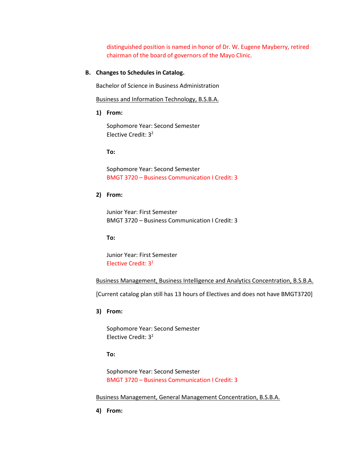distinguished position is named in honor of Dr. W. Eugene Mayberry, retired chairman of the board of governors of the Mayo Clinic.

# **B. Changes to Schedules in Catalog.**

Bachelor of Science in Business Administration

Business and Information Technology, B.S.B.A.

**1) From:**

Sophomore Year: Second Semester Elective Credit: 32

**To:** 

Sophomore Year: Second Semester BMGT 3720 – Business Communication I Credit: 3

## **2) From:**

Junior Year: First Semester BMGT 3720 – Business Communication I Credit: 3

**To:**

Junior Year: First Semester Elective Credit: 32

Business Management, Business Intelligence and Analytics Concentration, B.S.B.A.

[Current catalog plan still has 13 hours of Electives and does not have BMGT3720]

**3) From:**

Sophomore Year: Second Semester Elective Credit: 32

**To:**

Sophomore Year: Second Semester BMGT 3720 – Business Communication I Credit: 3

Business Management, General Management Concentration, B.S.B.A.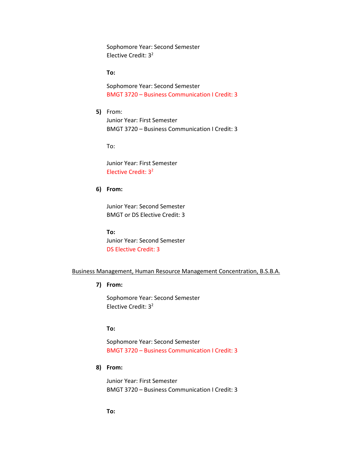Sophomore Year: Second Semester Elective Credit: 32

## **To:**

Sophomore Year: Second Semester BMGT 3720 – Business Communication I Credit: 3

**5)** From: Junior Year: First Semester BMGT 3720 – Business Communication I Credit: 3

To:

Junior Year: First Semester Elective Credit: 32

# **6) From:**

Junior Year: Second Semester BMGT or DS Elective Credit: 3

# **To:**

Junior Year: Second Semester DS Elective Credit: 3

### Business Management, Human Resource Management Concentration, B.S.B.A.

**7) From:**

Sophomore Year: Second Semester Elective Credit: 32

## **To:**

Sophomore Year: Second Semester BMGT 3720 – Business Communication I Credit: 3

## **8) From:**

Junior Year: First Semester BMGT 3720 – Business Communication I Credit: 3

**To:**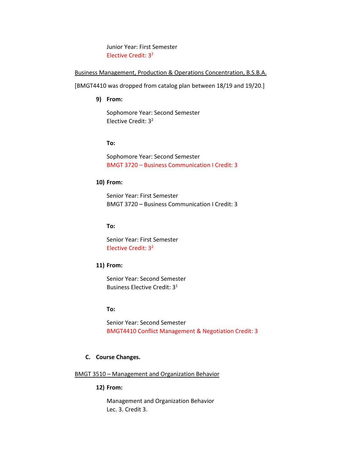Junior Year: First Semester Elective Credit: 3<sup>2</sup>

## Business Management, Production & Operations Concentration, B.S.B.A.

[BMGT4410 was dropped from catalog plan between 18/19 and 19/20.]

**9) From:**

Sophomore Year: Second Semester Elective Credit: 32

#### **To:**

Sophomore Year: Second Semester BMGT 3720 – Business Communication I Credit: 3

## **10) From:**

Senior Year: First Semester BMGT 3720 – Business Communication I Credit: 3

## **To:**

Senior Year: First Semester Elective Credit: 32

## **11) From:**

Senior Year: Second Semester Business Elective Credit: 31

#### **To:**

Senior Year: Second Semester BMGT4410 Conflict Management & Negotiation Credit: 3

## **C. Course Changes.**

BMGT 3510 – Management and Organization Behavior

### **12) From:**

Management and Organization Behavior Lec. 3. Credit 3.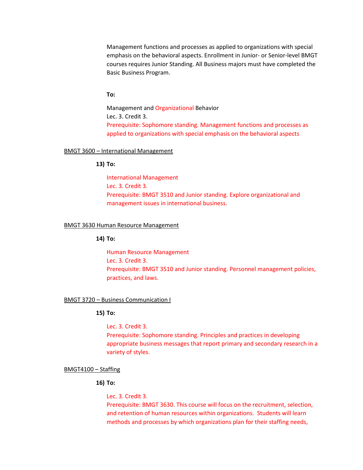Management functions and processes as applied to organizations with special emphasis on the behavioral aspects. Enrollment in Junior- or Senior-level BMGT courses requires Junior Standing. All Business majors must have completed the Basic Business Program.

### **To:**

Management and Organizational Behavior Lec. 3. Credit 3. Prerequisite: Sophomore standing. Management functions and processes as applied to organizations with special emphasis on the behavioral aspects

#### BMGT 3600 – International Management

**13) To:**

International Management Lec. 3. Credit 3. Prerequisite: BMGT 3510 and Junior standing. Explore organizational and management issues in international business.

# BMGT 3630 Human Resource Management

**14) To:**

Human Resource Management Lec. 3. Credit 3. Prerequisite: BMGT 3510 and Junior standing. Personnel management policies, practices, and laws.

### BMGT 3720 – Business Communication I

### **15) To:**

Lec. 3. Credit 3.

Prerequisite: Sophomore standing. Principles and practices in developing appropriate business messages that report primary and secondary research in a variety of styles.

#### BMGT4100 – Staffing

### **16) To:**

Lec. 3. Credit 3.

Prerequisite: BMGT 3630. This course will focus on the recruitment, selection, and retention of human resources within organizations. Students will learn methods and processes by which organizations plan for their staffing needs,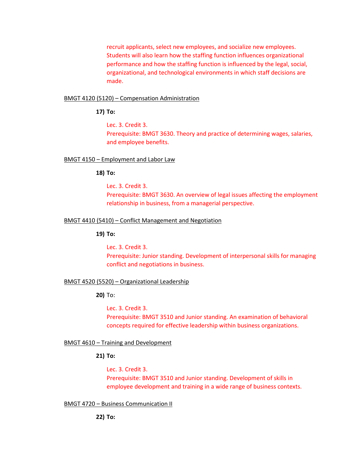recruit applicants, select new employees, and socialize new employees. Students will also learn how the staffing function influences organizational performance and how the staffing function is influenced by the legal, social, organizational, and technological environments in which staff decisions are made.

### BMGT 4120 (5120) – Compensation Administration

**17) To:**

Lec. 3. Credit 3. Prerequisite: BMGT 3630. Theory and practice of determining wages, salaries, and employee benefits.

### BMGT 4150 – Employment and Labor Law

#### **18) To:**

Lec. 3. Credit 3. Prerequisite: BMGT 3630. An overview of legal issues affecting the employment relationship in business, from a managerial perspective.

### BMGT 4410 (5410) – Conflict Management and Negotiation

**19) To:**

Lec. 3. Credit 3. Prerequisite: Junior standing. Development of interpersonal skills for managing conflict and negotiations in business.

#### BMGT 4520 (5520) – Organizational Leadership

**20)** To:

Lec. 3. Credit 3. Prerequisite: BMGT 3510 and Junior standing. An examination of behavioral concepts required for effective leadership within business organizations.

#### BMGT 4610 – Training and Development

## **21) To:**

Lec. 3. Credit 3. Prerequisite: BMGT 3510 and Junior standing. Development of skills in employee development and training in a wide range of business contexts.

## BMGT 4720 – Business Communication II

**22) To:**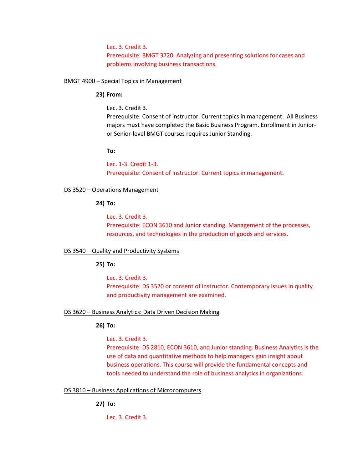Lec. 3. Credit 3.

Prerequisite: BMGT 3720. Analyzing and presenting solutions for cases and problems involving business transactions.

## BMGT 4900 – Special Topics in Management

## **23) From:**

Lec. 3. Credit 3. Prerequisite: Consent of instructor. Current topics in management. All Business majors must have completed the Basic Business Program. Enrollment in Junioror Senior-level BMGT courses requires Junior Standing.

## **To:**

Lec. 1-3. Credit 1-3. Prerequisite: Consent of instructor. Current topics in management.

## DS 3520 – Operations Management

## **24) To:**

Lec. 3. Credit 3. Prerequisite: ECON 3610 and Junior standing. Management of the processes, resources, and technologies in the production of goods and services.

# DS 3540 – Quality and Productivity Systems

**25) To:**

Lec. 3. Credit 3. Prerequisite: DS 3520 or consent of instructor. Contemporary issues in quality and productivity management are examined.

# DS 3620 – Business Analytics: Data Driven Decision Making

# **26) To:**

# Lec. 3. Credit 3.

Prerequisite: DS 2810, ECON 3610, and Junior standing. Business Analytics is the use of data and quantitative methods to help managers gain insight about business operations. This course will provide the fundamental concepts and tools needed to understand the role of business analytics in organizations.

## DS 3810 – Business Applications of Microcomputers

**27) To:**

Lec. 3. Credit 3.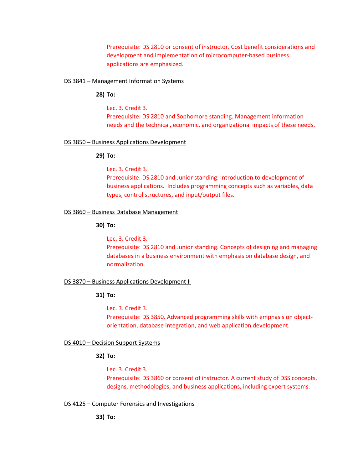Prerequisite: DS 2810 or consent of instructor. Cost benefit considerations and development and implementation of microcomputer-based business applications are emphasized.

### DS 3841 – Management Information Systems

### **28) To:**

Lec. 3. Credit 3. Prerequisite: DS 2810 and Sophomore standing. Management information needs and the technical, economic, and organizational impacts of these needs.

### DS 3850 – Business Applications Development

### **29) To:**

Lec. 3. Credit 3.

Prerequisite: DS 2810 and Junior standing. Introduction to development of business applications. Includes programming concepts such as variables, data types, control structures, and input/output files.

### DS 3860 – Business Database Management

## **30) To:**

Lec. 3. Credit 3. Prerequisite: DS 2810 and Junior standing. Concepts of designing and managing databases in a business environment with emphasis on database design, and normalization.

#### DS 3870 – Business Applications Development II

## **31) To:**

Lec. 3. Credit 3. Prerequisite: DS 3850. Advanced programming skills with emphasis on objectorientation, database integration, and web application development.

### DS 4010 – Decision Support Systems

## **32) To:**

Lec. 3. Credit 3. Prerequisite: DS 3860 or consent of instructor. A current study of DSS concepts, designs, methodologies, and business applications, including expert systems.

#### DS 4125 – Computer Forensics and Investigations

**33) To:**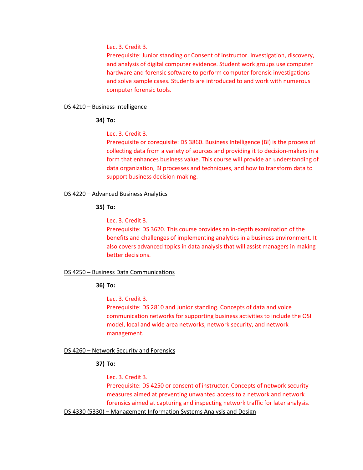### Lec. 3. Credit 3.

Prerequisite: Junior standing or Consent of instructor. Investigation, discovery, and analysis of digital computer evidence. Student work groups use computer hardware and forensic software to perform computer forensic investigations and solve sample cases. Students are introduced to and work with numerous computer forensic tools.

### DS 4210 - Business Intelligence

## **34) To:**

## Lec. 3. Credit 3.

Prerequisite or corequisite: DS 3860. Business Intelligence (BI) is the process of collecting data from a variety of sources and providing it to decision-makers in a form that enhances business value. This course will provide an understanding of data organization, BI processes and techniques, and how to transform data to support business decision-making.

## DS 4220 – Advanced Business Analytics

## **35) To:**

Lec. 3. Credit 3.

Prerequisite: DS 3620. This course provides an in-depth examination of the benefits and challenges of implementing analytics in a business environment. It also covers advanced topics in data analysis that will assist managers in making better decisions.

## DS 4250 – Business Data Communications

## **36) To:**

Lec. 3. Credit 3.

Prerequisite: DS 2810 and Junior standing. Concepts of data and voice communication networks for supporting business activities to include the OSI model, local and wide area networks, network security, and network management.

## DS 4260 – Network Security and Forensics

## **37) To:**

Lec. 3. Credit 3.

Prerequisite: DS 4250 or consent of instructor. Concepts of network security measures aimed at preventing unwanted access to a network and network forensics aimed at capturing and inspecting network traffic for later analysis.

DS 4330 (5330) – Management Information Systems Analysis and Design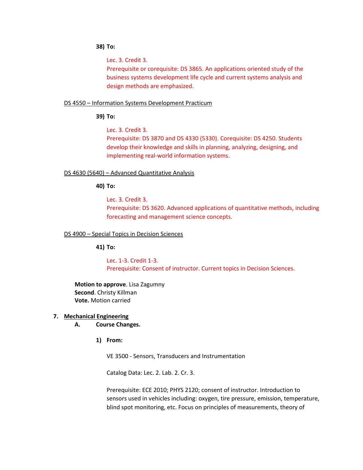**38) To:**

Lec. 3. Credit 3.

Prerequisite or corequisite: DS 3865. An applications oriented study of the business systems development life cycle and current systems analysis and design methods are emphasized.

# DS 4550 – Information Systems Development Practicum

**39) To:**

Lec. 3. Credit 3.

Prerequisite: DS 3870 and DS 4330 (5330). Corequisite: DS 4250. Students develop their knowledge and skills in planning, analyzing, designing, and implementing real-world information systems.

## DS 4630 (5640) – Advanced Quantitative Analysis

**40) To:**

Lec. 3. Credit 3. Prerequisite: DS 3620. Advanced applications of quantitative methods, including forecasting and management science concepts.

## DS 4900 – Special Topics in Decision Sciences

**41) To:**

Lec. 1-3. Credit 1-3. Prerequisite: Consent of instructor. Current topics in Decision Sciences.

**Motion to approve**. Lisa Zagumny **Second**. Christy Killman **Vote.** Motion carried

## **7. Mechanical Engineering**

- **A. Course Changes.** 
	- **1) From:**

VE 3500 - Sensors, Transducers and Instrumentation

Catalog Data: Lec. 2. Lab. 2. Cr. 3.

Prerequisite: [ECE 2010;](http://catalog.tntech.edu/search_advanced.php?cur_cat_oid=27&search_database=Search&search_db=Search&cpage=1&ecpage=1&ppage=1&spage=1&tpage=1&location=3&filter%5Bkeyword%5D=VE&filter%5Bexact_match%5D=1#tt8217) [PHYS 2120;](http://catalog.tntech.edu/search_advanced.php?cur_cat_oid=27&search_database=Search&search_db=Search&cpage=1&ecpage=1&ppage=1&spage=1&tpage=1&location=3&filter%5Bkeyword%5D=VE&filter%5Bexact_match%5D=1#tt9682) consent of instructor. Introduction to sensors used in vehicles including: oxygen, tire pressure, emission, temperature, blind spot monitoring, etc. Focus on principles of measurements, theory of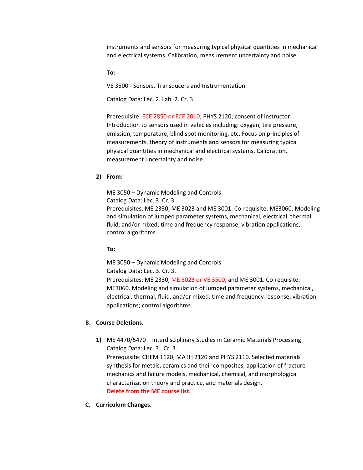instruments and sensors for measuring typical physical quantities in mechanical and electrical systems. Calibration, measurement uncertainty and noise.

**To:**

VE 3500 - Sensors, Transducers and Instrumentation

Catalog Data: Lec. 2. Lab. 2. Cr. 3.

Prerequisite: ECE 2850 or ECE 2010; [PHYS 2120;](http://catalog.tntech.edu/search_advanced.php?cur_cat_oid=27&search_database=Search&search_db=Search&cpage=1&ecpage=1&ppage=1&spage=1&tpage=1&location=3&filter%5Bkeyword%5D=VE&filter%5Bexact_match%5D=1#tt9682) consent of instructor. Introduction to sensors used in vehicles including: oxygen, tire pressure, emission, temperature, blind spot monitoring, etc. Focus on principles of measurements, theory of instruments and sensors for measuring typical physical quantities in mechanical and electrical systems. Calibration, measurement uncertainty and noise.

### **2) From:**

ME 3050 – Dynamic Modeling and Controls Catalog Data: Lec. 3. Cr. 3. Prerequisites: ME 2330, ME 3023 and ME 3001. Co-requisite: ME3060. Modeling and simulation of lumped parameter systems, mechanical, electrical, thermal, fluid, and/or mixed; time and frequency response; vibration applications; control algorithms.

#### **To:**

ME 3050 – Dynamic Modeling and Controls Catalog Data**:** Lec. 3. Cr. 3. Prerequisites: ME 2330, ME 3023 or VE 3500, and ME 3001. Co-requisite: ME3060. Modeling and simulation of lumped parameter systems, mechanical, electrical, thermal, fluid, and/or mixed; time and frequency response; vibration applications; control algorithms.

## **B. Course Deletions.**

- **1)** ME 4470/5470 Interdisciplinary Studies in Ceramic Materials Processing Catalog Data: Lec. 3. Cr. 3. Prerequisite: CHEM 1120, MATH 2120 and PHYS 2110. Selected materials synthesis for metals, ceramics and their composites, application of fracture mechanics and failure models, mechanical, chemical, and morphological characterization theory and practice, and materials design. **Delete from the ME course list.**
- **C. Curriculum Changes.**